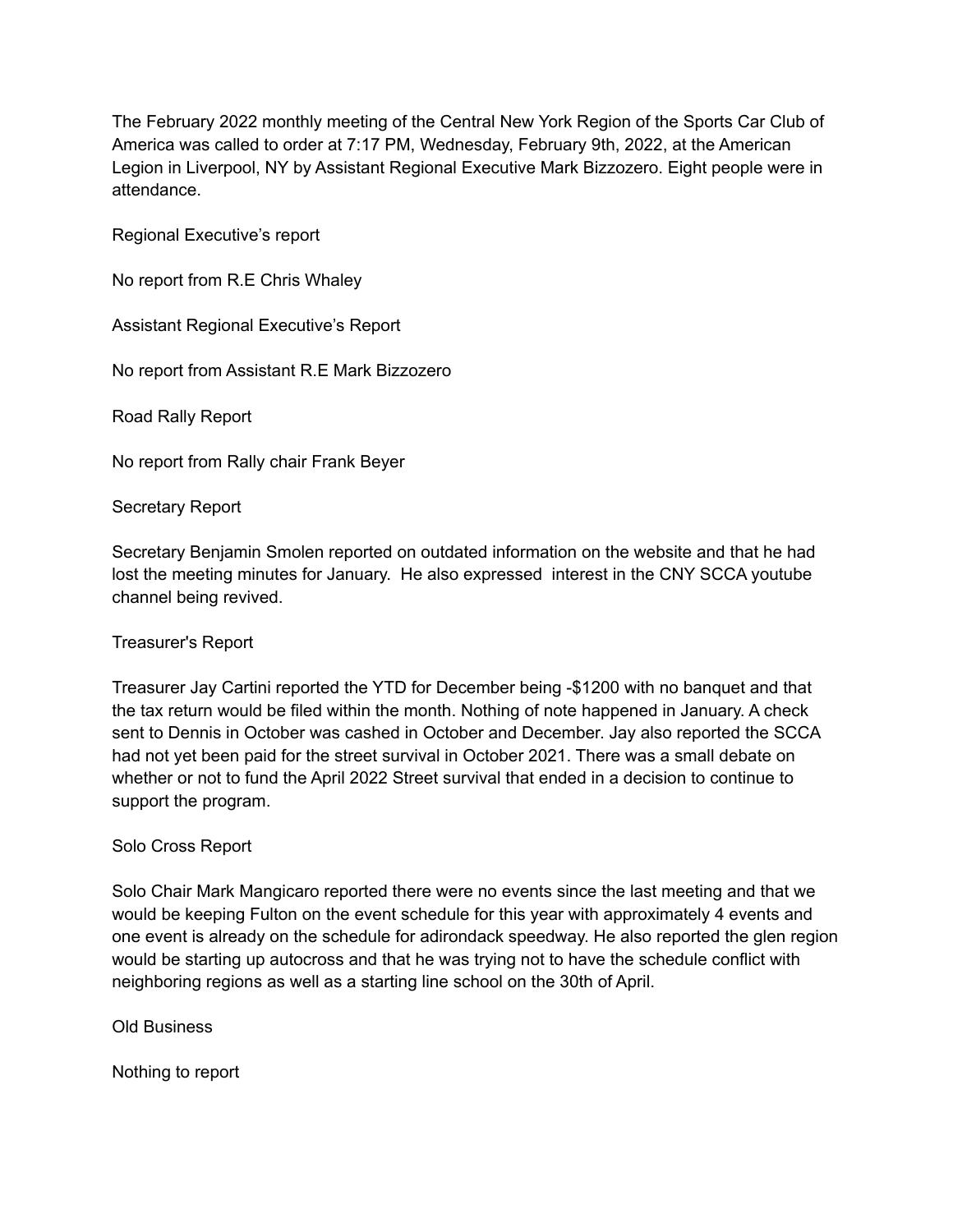The February 2022 monthly meeting of the Central New York Region of the Sports Car Club of America was called to order at 7:17 PM, Wednesday, February 9th, 2022, at the American Legion in Liverpool, NY by Assistant Regional Executive Mark Bizzozero. Eight people were in attendance.

Regional Executive's report

No report from R.E Chris Whaley

Assistant Regional Executive's Report

No report from Assistant R.E Mark Bizzozero

Road Rally Report

No report from Rally chair Frank Beyer

Secretary Report

Secretary Benjamin Smolen reported on outdated information on the website and that he had lost the meeting minutes for January. He also expressed interest in the CNY SCCA youtube channel being revived.

## Treasurer's Report

Treasurer Jay Cartini reported the YTD for December being -\$1200 with no banquet and that the tax return would be filed within the month. Nothing of note happened in January. A check sent to Dennis in October was cashed in October and December. Jay also reported the SCCA had not yet been paid for the street survival in October 2021. There was a small debate on whether or not to fund the April 2022 Street survival that ended in a decision to continue to support the program.

## Solo Cross Report

Solo Chair Mark Mangicaro reported there were no events since the last meeting and that we would be keeping Fulton on the event schedule for this year with approximately 4 events and one event is already on the schedule for adirondack speedway. He also reported the glen region would be starting up autocross and that he was trying not to have the schedule conflict with neighboring regions as well as a starting line school on the 30th of April.

Old Business

Nothing to report